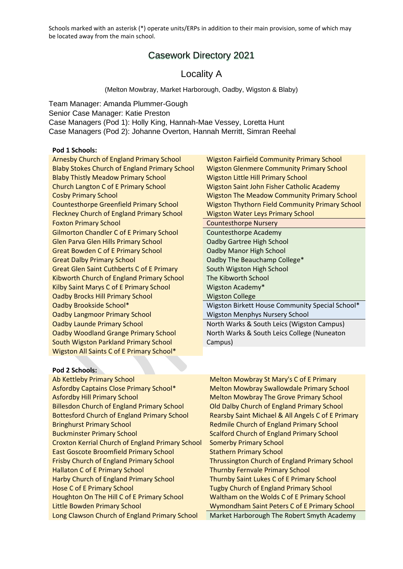## Casework Directory 2021

## Locality A

(Melton Mowbray, Market Harborough, Oadby, Wigston & Blaby)

Team Manager: Amanda Plummer-Gough Senior Case Manager: Katie Preston Case Managers (Pod 1): Holly King, Hannah-Mae Vessey, Loretta Hunt Case Managers (Pod 2): Johanne Overton, Hannah Merritt, Simran Reehal

#### **Pod 1 Schools:**

Blaby Thistly Meadow Primary School Wigston Little Hill Primary School Church Langton C of E Primary School Wigston Saint John Fisher Catholic Academy Fleckney Church of England Primary School Wigston Water Leys Primary School Foxton Primary School **Countersthorpe Nursery** Gilmorton Chandler C of E Primary School Countesthorpe Academy Glen Parva Glen Hills Primary School Oadby Gartree High School Great Bowden C of E Primary School **Camella Contact Contact Contact Contact Contact Contact Contact Contact Conta** Great Dalby Primary School Contract Contract Contract Contract College\* Great Glen Saint Cuthberts C of E Primary South Wigston High School Kibworth Church of England Primary School The Kibworth School Kilby Saint Marys C of E Primary School Wigston Academy\* **Oadby Brocks Hill Primary School Wigston College Oadby Langmoor Primary School Wigston Menphys Nursery School Communisty Oadby Launde Primary School North Warks & South Leics (Wigston Campus)** Oadby Woodland Grange Primary School South Wigston Parkland Primary School Wigston All Saints C of E Primary School\*

Arnesby Church of England Primary School Wigston Fairfield Community Primary School Blaby Stokes Church of England Primary School Wigston Glenmere Community Primary School Cosby Primary School Wigston The Meadow Community Primary School Countesthorpe Greenfield Primary School Wigston Thythorn Field Community Primary School

Oadby Brookside School\* Wigston Birkett House Community Special School\*

North Warks & South Leics College (Nuneaton Campus)

| Pod 2 Schools:                                          |  |  |  |
|---------------------------------------------------------|--|--|--|
| <b>Ab Kettleby Primary School</b>                       |  |  |  |
| Asfordby Captains Close Primary School*                 |  |  |  |
| <b>Asfordby Hill Primary School</b>                     |  |  |  |
| <b>Billesdon Church of England Primary School</b>       |  |  |  |
| <b>Bottesford Church of England Primary School</b>      |  |  |  |
| <b>Bringhurst Primary School</b>                        |  |  |  |
| <b>Buckminster Primary School</b>                       |  |  |  |
| <b>Croxton Kerrial Church of England Primary School</b> |  |  |  |
| <b>East Goscote Broomfield Primary School</b>           |  |  |  |
| <b>Frisby Church of England Primary School</b>          |  |  |  |
| <b>Hallaton C of E Primary School</b>                   |  |  |  |
| Harby Church of England Primary School                  |  |  |  |
| <b>Hose C of E Primary School</b>                       |  |  |  |
| Houghton On The Hill C of E Primary School              |  |  |  |
| <b>Little Bowden Primary School</b>                     |  |  |  |
| Long Clawson Church of England Primary School           |  |  |  |

Melton Mowbray St Mary's C of E Primary Melton Mowbray Swallowdale Primary School Melton Mowbray The Grove Primary School **Old Dalby Church of England Primary School** Rearsby Saint Michael & All Angels C of E Primary Redmile Church of England Primary School Scalford Church of England Primary School **Somerby Primary School Stathern Primary School** Thrussington Church of England Primary School Thurnby Fernvale Primary School Thurnby Saint Lukes C of E Primary School Tugby Church of England Primary School Waltham on the Wolds C of E Primary School Wymondham Saint Peters C of E Primary School Market Harborough The Robert Smyth Academy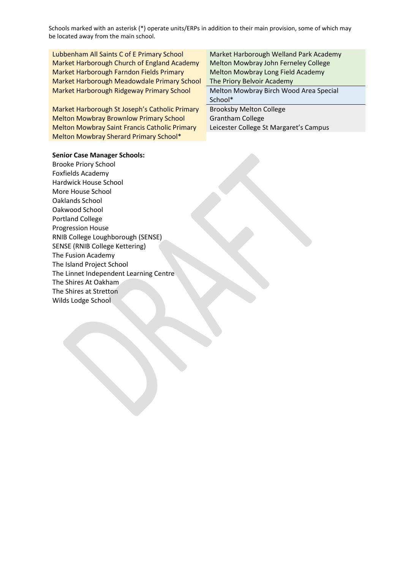Lubbenham All Saints C of E Primary School Market Harborough Welland Park Academy Market Harborough Church of England Academy Melton Mowbray John Ferneley College Market Harborough Farndon Fields Primary Melton Mowbray Long Field Academy Market Harborough Meadowdale Primary School The Priory Belvoir Academy Market Harborough Ridgeway Primary School Melton Mowbray Birch Wood Area Special

Market Harborough St Joseph's Catholic Primary Brooksby Melton College Melton Mowbray Brownlow Primary School Grantham College Melton Mowbray Saint Francis Catholic Primary Leicester College St Margaret's Campus Melton Mowbray Sherard Primary School\*

School\*

#### **Senior Case Manager Schools:**

Brooke Priory School Foxfields Academy Hardwick House School More House School Oaklands School Oakwood School Portland College Progression House RNIB College Loughborough (SENSE) SENSE (RNIB College Kettering) The Fusion Academy The Island Project School The Linnet Independent Learning Centre The Shires At Oakham The Shires at Stretton Wilds Lodge School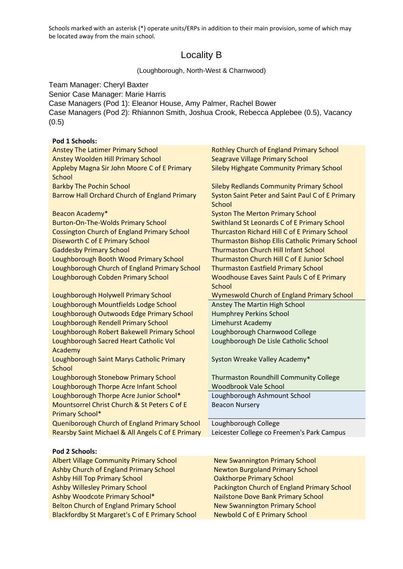# Locality B

#### (Loughborough, North-West & Charnwood)

Team Manager: Cheryl Baxter Senior Case Manager: Marie Harris Case Managers (Pod 1): Eleanor House, Amy Palmer, Rachel Bower Case Managers (Pod 2): Rhiannon Smith, Joshua Crook, Rebecca Applebee (0.5), Vacancy (0.5)

## **Pod 1 Schools:**

| <b>Anstey The Latimer Primary School</b>                               | <b>Rothley Church of England Primary School</b>                          |
|------------------------------------------------------------------------|--------------------------------------------------------------------------|
| <b>Anstey Woolden Hill Primary School</b>                              | <b>Seagrave Village Primary School</b>                                   |
| Appleby Magna Sir John Moore C of E Primary<br><b>School</b>           | <b>Sileby Highgate Community Primary School</b>                          |
| <b>Barkby The Pochin School</b>                                        | <b>Sileby Redlands Community Primary School</b>                          |
| <b>Barrow Hall Orchard Church of England Primary</b>                   | <b>Syston Saint Peter and Saint Paul C of E Primary</b><br><b>School</b> |
| Beacon Academy*                                                        | <b>Syston The Merton Primary School</b>                                  |
| <b>Burton-On-The-Wolds Primary School</b>                              | Swithland St Leonards C of E Primary School                              |
| <b>Cossington Church of England Primary School</b>                     | Thurcaston Richard Hill C of E Primary School                            |
| Diseworth C of E Primary School                                        | Thurmaston Bishop Ellis Catholic Primary School                          |
| <b>Gaddesby Primary School</b>                                         | <b>Thurmaston Church Hill Infant School</b>                              |
| Loughborough Booth Wood Primary School                                 | Thurmaston Church Hill C of E Junior School                              |
| Loughborough Church of England Primary School                          | <b>Thurmaston Eastfield Primary School</b>                               |
| Loughborough Cobden Primary School                                     | <b>Woodhouse Eaves Saint Pauls C of E Primary</b>                        |
|                                                                        | <b>School</b>                                                            |
| Loughborough Holywell Primary School                                   | Wymeswold Church of England Primary School                               |
| Loughborough Mountfields Lodge School                                  | Anstey The Martin High School                                            |
| Loughborough Outwoods Edge Primary School                              | <b>Humphrey Perkins School</b>                                           |
| Loughborough Rendell Primary School                                    | Limehurst Academy                                                        |
| Loughborough Robert Bakewell Primary School                            | Loughborough Charnwood College                                           |
| Loughborough Sacred Heart Catholic Vol<br>Academy                      | Loughborough De Lisle Catholic School                                    |
| Loughborough Saint Marys Catholic Primary<br><b>School</b>             | Syston Wreake Valley Academy*                                            |
| Loughborough Stonebow Primary School                                   | <b>Thurmaston Roundhill Community College</b>                            |
| Loughborough Thorpe Acre Infant School                                 | <b>Woodbrook Vale School</b>                                             |
| Loughborough Thorpe Acre Junior School*                                | Loughborough Ashmount School                                             |
| Mountsorrel Christ Church & St Peters C of E<br><b>Primary School*</b> | <b>Beacon Nursery</b>                                                    |
| Queniborough Church of England Primary School                          | Loughborough College                                                     |
| Rearsby Saint Michael & All Angels C of E Primary                      | Leicester College co Freemen's Park Campus                               |
|                                                                        |                                                                          |
| Pod 2 Schools:                                                         |                                                                          |
| <b>Albert Village Community Primary School</b>                         | <b>New Swannington Primary School</b>                                    |
| Ashby Church of England Primary School                                 | <b>Newton Burgoland Primary School</b>                                   |
| <b>Ashby Hill Top Primary School</b>                                   | <b>Oakthorpe Primary School</b>                                          |
| Achby Willoclow Drimany School                                         | <b>Dackington Church of England Drimany School</b>                       |

Ashby Willesley Primary School Packington Church of England Primary School Ashby Woodcote Primary School\* Nailstone Dove Bank Primary School Belton Church of England Primary School New Swannington Primary School Blackfordby St Margaret's C of E Primary School Newbold C of E Primary School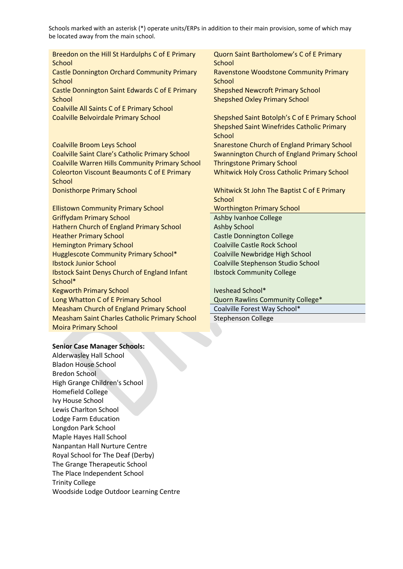| Breedon on the Hill St Hardulphs C of E Primary<br><b>School</b> | Quorn Saint Bartholomew's C of E Primary<br>School |
|------------------------------------------------------------------|----------------------------------------------------|
| <b>Castle Donnington Orchard Community Primary</b>               | Ravenstone Woodstone Community Primary             |
| School                                                           | School                                             |
| Castle Donnington Saint Edwards C of E Primary                   | <b>Shepshed Newcroft Primary School</b>            |
| <b>School</b>                                                    | <b>Shepshed Oxley Primary School</b>               |
| Coalville All Saints C of E Primary School                       |                                                    |
| Coalville Belvoirdale Primary School                             | Shepshed Saint Botolph's C of E Primary School     |
|                                                                  | <b>Shepshed Saint Winefrides Catholic Primary</b>  |
|                                                                  | School                                             |
| <b>Coalville Broom Leys School</b>                               | <b>Snarestone Church of England Primary School</b> |
| <b>Coalville Saint Clare's Catholic Primary School</b>           | Swannington Church of England Primary School       |
| <b>Coalville Warren Hills Community Primary School</b>           | <b>Thringstone Primary School</b>                  |
| <b>Coleorton Viscount Beaumonts C of E Primary</b>               | <b>Whitwick Holy Cross Catholic Primary School</b> |
| <b>School</b>                                                    |                                                    |
| <b>Donisthorpe Primary School</b>                                | Whitwick St John The Baptist C of E Primary        |
|                                                                  | School                                             |
| <b>Ellistown Community Primary School</b>                        | <b>Worthington Primary School</b>                  |
| <b>Griffydam Primary School</b>                                  | <b>Ashby Ivanhoe College</b>                       |
| Hathern Church of England Primary School                         | <b>Ashby School</b>                                |
| <b>Heather Primary School</b>                                    | <b>Castle Donnington College</b>                   |
| <b>Hemington Primary School</b>                                  | <b>Coalville Castle Rock School</b>                |
| <b>Hugglescote Community Primary School*</b>                     | Coalville Newbridge High School                    |
| <b>Ibstock Junior School</b>                                     | Coalville Stephenson Studio School                 |
| <b>Ibstock Saint Denys Church of England Infant</b>              | <b>Ibstock Community College</b>                   |
| School*                                                          |                                                    |
| <b>Kegworth Primary School</b>                                   | Iveshead School*                                   |
| Long Whatton C of E Primary School                               | Quorn Rawlins Community College*                   |
| <b>Measham Church of England Primary School</b>                  | Coalville Forest Way School*                       |
| <b>Measham Saint Charles Catholic Primary School</b>             | <b>Stephenson College</b>                          |
| <b>Moira Primary School</b>                                      |                                                    |
|                                                                  |                                                    |
| <b>Senior Case Manager Schools:</b>                              |                                                    |

Alderwasley Hall School Bladon House School Bredon School High Grange Children's School Homefield College Ivy House School Lewis Charlton School Lodge Farm Education Longdon Park School Maple Hayes Hall School Nanpantan Hall Nurture Centre Royal School for The Deaf (Derby) The Grange Therapeutic School The Place Independent School Trinity College Woodside Lodge Outdoor Learning Centre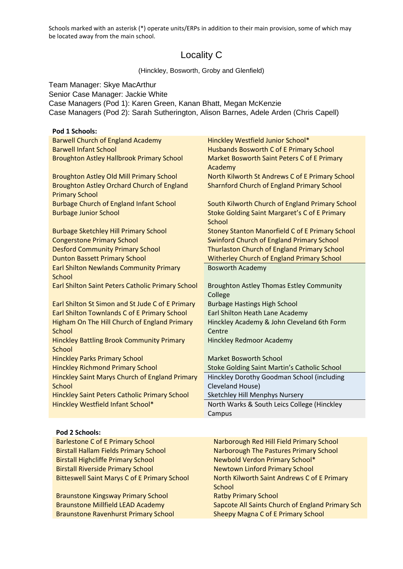# Locality C

(Hinckley, Bosworth, Groby and Glenfield)

Team Manager: Skye MacArthur Senior Case Manager: Jackie White Case Managers (Pod 1): Karen Green, Kanan Bhatt, Megan McKenzie Case Managers (Pod 2): Sarah Sutherington, Alison Barnes, Adele Arden (Chris Capell)

| Pod 1 Schools:                                                    |                                                                |
|-------------------------------------------------------------------|----------------------------------------------------------------|
| <b>Barwell Church of England Academy</b>                          | Hinckley Westfield Junior School*                              |
| <b>Barwell Infant School</b>                                      | Husbands Bosworth C of E Primary School                        |
| <b>Broughton Astley Hallbrook Primary School</b>                  | Market Bosworth Saint Peters C of E Primary<br>Academy         |
| <b>Broughton Astley Old Mill Primary School</b>                   | North Kilworth St Andrews C of E Primary School                |
| <b>Broughton Astley Orchard Church of England</b>                 | <b>Sharnford Church of England Primary School</b>              |
| <b>Primary School</b>                                             |                                                                |
| <b>Burbage Church of England Infant School</b>                    | South Kilworth Church of England Primary School                |
| <b>Burbage Junior School</b>                                      | <b>Stoke Golding Saint Margaret's C of E Primary</b><br>School |
| <b>Burbage Sketchley Hill Primary School</b>                      | <b>Stoney Stanton Manorfield C of E Primary School</b>         |
| <b>Congerstone Primary School</b>                                 | <b>Swinford Church of England Primary School</b>               |
| <b>Desford Community Primary School</b>                           | <b>Thurlaston Church of England Primary School</b>             |
| <b>Dunton Bassett Primary School</b>                              | Witherley Church of England Primary School                     |
| <b>Earl Shilton Newlands Community Primary</b>                    | <b>Bosworth Academy</b>                                        |
| <b>School</b>                                                     |                                                                |
| Earl Shilton Saint Peters Catholic Primary School                 | <b>Broughton Astley Thomas Estley Community</b><br>College     |
| Earl Shilton St Simon and St Jude C of E Primary                  | <b>Burbage Hastings High School</b>                            |
| Earl Shilton Townlands C of E Primary School                      | Earl Shilton Heath Lane Academy                                |
| Higham On The Hill Church of England Primary                      | Hinckley Academy & John Cleveland 6th Form                     |
| <b>School</b>                                                     | Centre                                                         |
| <b>Hinckley Battling Brook Community Primary</b><br><b>School</b> | <b>Hinckley Redmoor Academy</b>                                |
| <b>Hinckley Parks Primary School</b>                              | <b>Market Bosworth School</b>                                  |
| <b>Hinckley Richmond Primary School</b>                           | Stoke Golding Saint Martin's Catholic School                   |
| <b>Hinckley Saint Marys Church of England Primary</b>             | Hinckley Dorothy Goodman School (including                     |
| School                                                            | Cleveland House)                                               |
| <b>Hinckley Saint Peters Catholic Primary School</b>              | Sketchley Hill Menphys Nursery                                 |
| Hinckley Westfield Infant School*                                 | North Warks & South Leics College (Hinckley                    |
|                                                                   | Campus                                                         |
|                                                                   |                                                                |

| Pod 2 Schools:                                      |                                                  |
|-----------------------------------------------------|--------------------------------------------------|
| <b>Barlestone C of E Primary School</b>             | Narborough Red Hill Field Primary School         |
| <b>Birstall Hallam Fields Primary School</b>        | Narborough The Pastures Primary School           |
| <b>Birstall Highcliffe Primary School</b>           | Newbold Verdon Primary School*                   |
| <b>Birstall Riverside Primary School</b>            | <b>Newtown Linford Primary School</b>            |
| <b>Bitteswell Saint Marys C of E Primary School</b> | North Kilworth Saint Andrews C of E Primary      |
|                                                     | School                                           |
| <b>Braunstone Kingsway Primary School</b>           | <b>Ratby Primary School</b>                      |
| <b>Braunstone Millfield LEAD Academy</b>            | Sapcote All Saints Church of England Primary Sch |
| <b>Braunstone Ravenhurst Primary School</b>         | <b>Sheepy Magna C of E Primary School</b>        |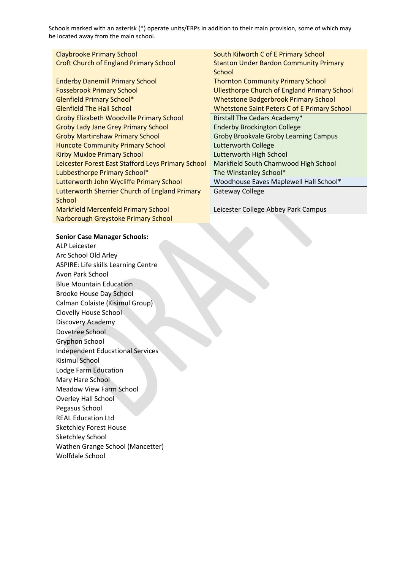| <b>Claybrooke Primary School</b>                   | South Kilworth C of E Primary School                |
|----------------------------------------------------|-----------------------------------------------------|
| <b>Croft Church of England Primary School</b>      | <b>Stanton Under Bardon Community Primary</b>       |
|                                                    | School                                              |
| <b>Enderby Danemill Primary School</b>             | <b>Thornton Community Primary School</b>            |
| <b>Fossebrook Primary School</b>                   | <b>Ullesthorpe Church of England Primary School</b> |
| <b>Glenfield Primary School*</b>                   | <b>Whetstone Badgerbrook Primary School</b>         |
| <b>Glenfield The Hall School</b>                   | <b>Whetstone Saint Peters C of E Primary School</b> |
| <b>Groby Elizabeth Woodville Primary School</b>    | Birstall The Cedars Academy*                        |
| <b>Groby Lady Jane Grey Primary School</b>         | <b>Enderby Brockington College</b>                  |
| <b>Groby Martinshaw Primary School</b>             | <b>Groby Brookvale Groby Learning Campus</b>        |
| <b>Huncote Community Primary School</b>            | <b>Lutterworth College</b>                          |
| <b>Kirby Muxloe Primary School</b>                 | Lutterworth High School                             |
| Leicester Forest East Stafford Leys Primary School | Markfield South Charnwood High School               |
| Lubbesthorpe Primary School*                       | The Winstanley School*                              |
| Lutterworth John Wycliffe Primary School           | Woodhouse Eaves Maplewell Hall School*              |
| Lutterworth Sherrier Church of England Primary     | Gateway College                                     |
| School                                             |                                                     |
| <b>Markfield Mercenfeld Primary School</b>         | Leicester College Abbey Park Campus                 |
| Narborough Greystoke Primary School                |                                                     |

#### **Senior Case Manager Schools:**

ALP Leicester Arc School Old Arley ASPIRE: Life skills Learning Centre Avon Park School Blue Mountain Education Brooke House Day School Calman Colaiste (Kisimul Group) Clovelly House School Discovery Academy Dovetree School Gryphon School Independent Educational Services Kisimul School Lodge Farm Education Mary Hare School Meadow View Farm School Overley Hall School Pegasus School REAL Education Ltd Sketchley Forest House Sketchley School Wathen Grange School (Mancetter) Wolfdale School